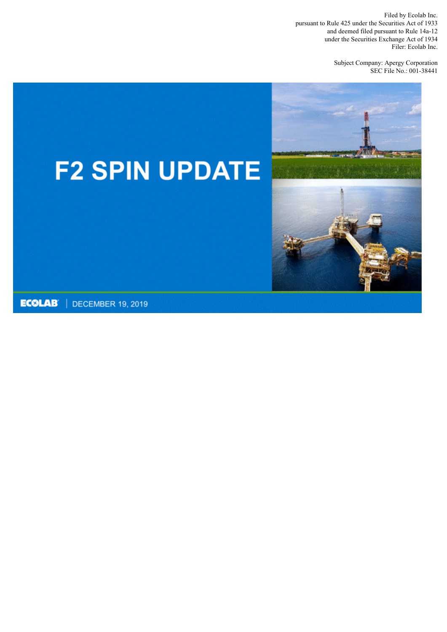Filed by Ecolab Inc. pursuant to Rule 425 under the Securities Act of 1933 and deemed filed pursuant to Rule 14a-12 under the Securities Exchange Act of 1934 Filer: Ecolab Inc.

> Subject Company: Apergy Corporation SEC File No.: 001-38441

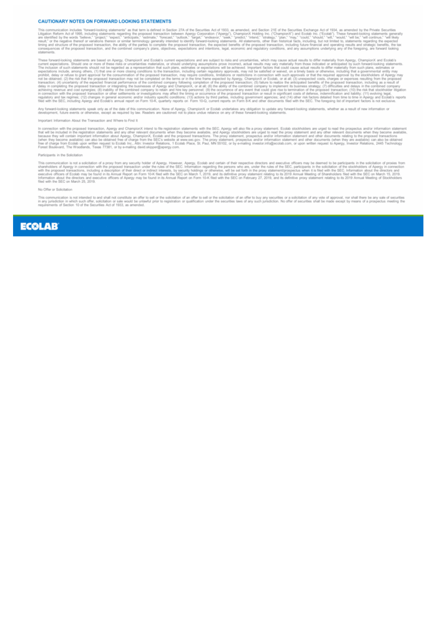#### **CAUTIONARY NOTES ON FORWARD LOOKING STATEMENTS**

This communication includes "forward-looking statements" as that term is defined in Section 27A of the Securities Act of 1933, as amended, and Section 21E of the Securities Exchange Act of 1934, as amended by the Private S

These forward-looking statements are based on Apergy, ChampionX and Ecolatis current expectations and are subject to risks and uncertainties, which may cause actual results to differ materially from Apergy, ChampionX and E

tents, whether as a result of new inform forward-looking statements speak only as of the date of this communication. None of Apergy, ChampionX or Ecolab undertakes any obligation to update<br>lopment, future events or otherwise, except as required by law. Readers ar pdate any forward-looking state

#### Important Information About the Transaction and Where to Find It

In connection with the proposed transaction, Apergy and ChampionX intend to fite registration statements with the SEC. Apergy will also file a proxy statement. Ecolab stockholders are urged to read the prospectus and/or in

#### Participants in the Solicitation

This communication is not a solicitation of a proxy from any security holder of Apergy. However, Apergy, Ecolab and certain of their respective directors and executive officers may be deemed to be participants in the solic

#### No Offer or Solicitation

This communication is not intended to and shall not constitute an offer to sell or the solicitation of an offer to sell or the solicitation of an offer to buy any securities or a solicitation of any vote of approval, nor s ale of securities<br>--- meeting the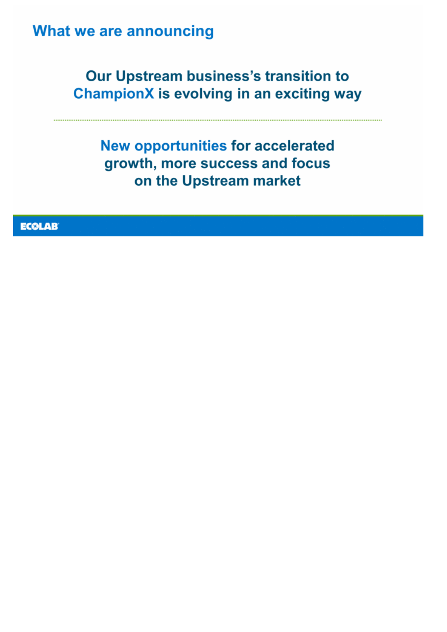### What we are announcing

### Our Upstream business's transition to **ChampionX is evolving in an exciting way**

**New opportunities for accelerated** growth, more success and focus on the Upstream market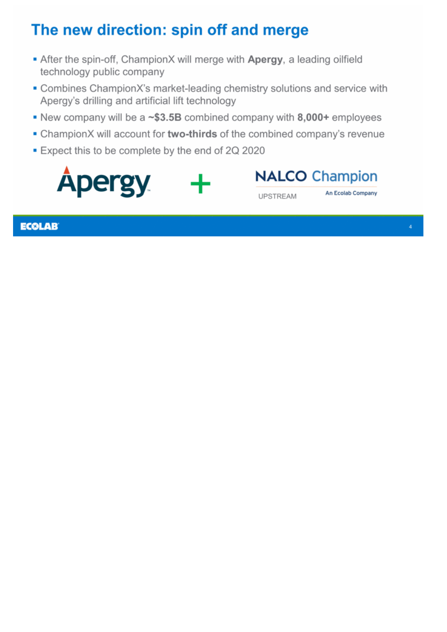# The new direction: spin off and merge

- After the spin-off, ChampionX will merge with Apergy, a leading oilfield technology public company
- Combines ChampionX's market-leading chemistry solutions and service with Apergy's drilling and artificial lift technology
- New company will be a ~\$3.5B combined company with 8,000+ employees
- ChampionX will account for two-thirds of the combined company's revenue

An Ecolab Company

■ Expect this to be complete by the end of 2Q 2020

**NALCO Champion Apergy UPSTREAM**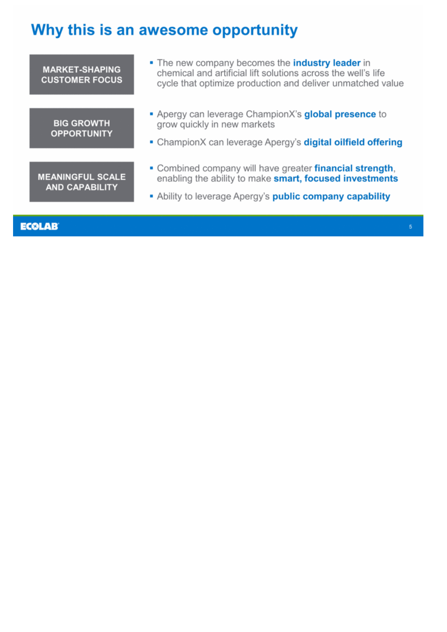# Why this is an awesome opportunity

| <b>MARKET-SHAPING</b><br><b>CUSTOMER FOCUS</b>   | • The new company becomes the <b>industry leader</b> in<br>chemical and artificial lift solutions across the well's life<br>cycle that optimize production and deliver unmatched value       |
|--------------------------------------------------|----------------------------------------------------------------------------------------------------------------------------------------------------------------------------------------------|
| <b>BIG GROWTH</b><br><b>OPPORTUNITY</b>          | Apergy can leverage ChampionX's global presence to<br>grow quickly in new markets<br>• ChampionX can leverage Apergy's <b>digital oilfield offering</b>                                      |
| <b>MEANINGFUL SCALE</b><br><b>AND CAPABILITY</b> | • Combined company will have greater <b>financial strength</b> ,<br>enabling the ability to make smart, focused investments<br>Ability to leverage Apergy's <b>public company capability</b> |
| ECOLAB                                           |                                                                                                                                                                                              |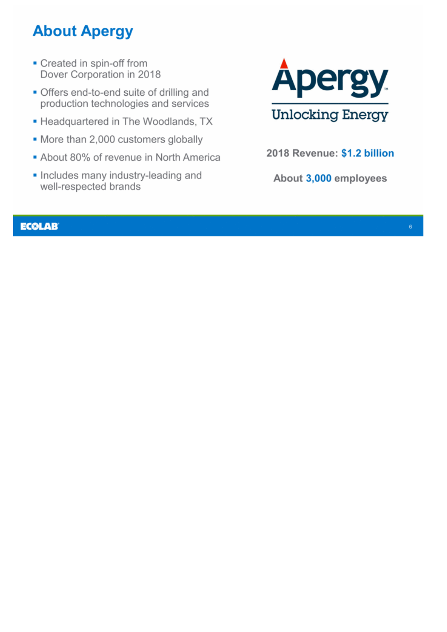# **About Apergy**

- Created in spin-off from Dover Corporation in 2018
- Offers end-to-end suite of drilling and production technologies and services
- Headquartered in The Woodlands, TX
- More than 2,000 customers globally
- About 80% of revenue in North America
- Includes many industry-leading and well-respected brands



2018 Revenue: \$1.2 billion

About 3,000 employees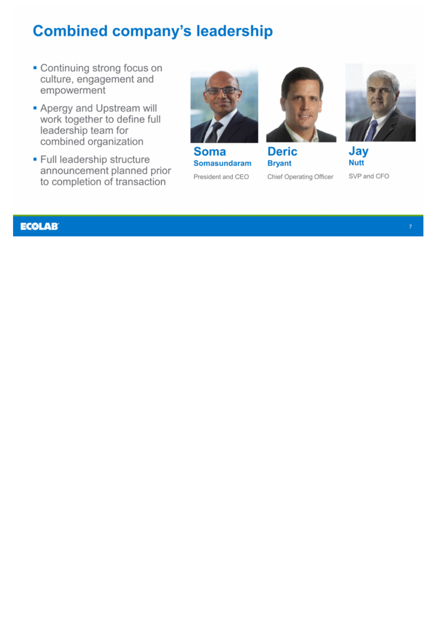## **Combined company's leadership**

- Continuing strong focus on culture, engagement and empowerment
- Apergy and Upstream will<br>work together to define full leadership team for combined organization
- · Full leadership structure announcement planned prior to completion of transaction



Soma **Somasundaram** President and CEO



**Deric Bryant** Chief Operating Officer



Jay **Nutt** SVP and CFO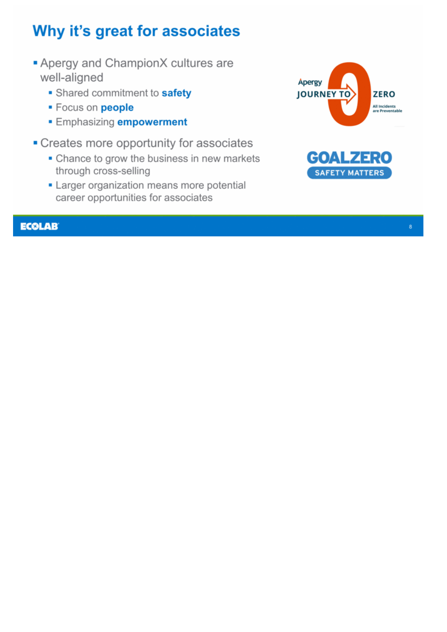# Why it's great for associates

- **Apergy and ChampionX cultures are** well-aligned
	- Shared commitment to safety
	- · Focus on people
	- **Emphasizing empowerment**
- Creates more opportunity for associates
	- Chance to grow the business in new markets through cross-selling
	- Larger organization means more potential career opportunities for associates



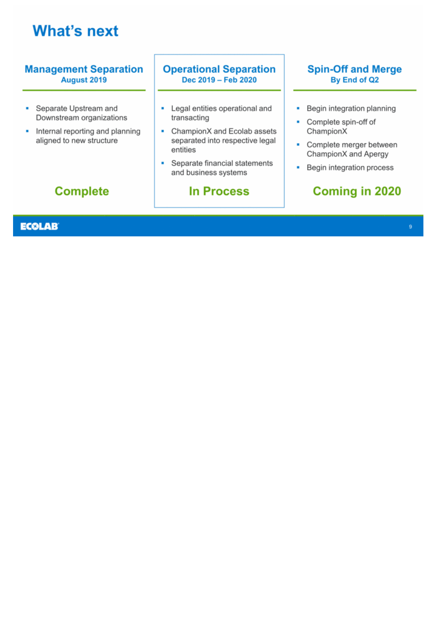## **What's next**

#### **Management Separation Operational Separation Spin-Off and Merge** Dec 2019 - Feb 2020 August 2019 By End of Q2 Separate Upstream and Legal entities operational and Begin integration planning ×. ٠ × Downstream organizations transacting Complete spin-off of × • Internal reporting and planning • ChampionX and Ecolab assets ChampionX aligned to new structure separated into respective legal • Complete merger between entities ChampionX and Apergy Separate financial statements ٠ Begin integration process ٠ and business systems

### **Complete**

#### **ECOLAB**

### **In Process**

### **Coming in 2020**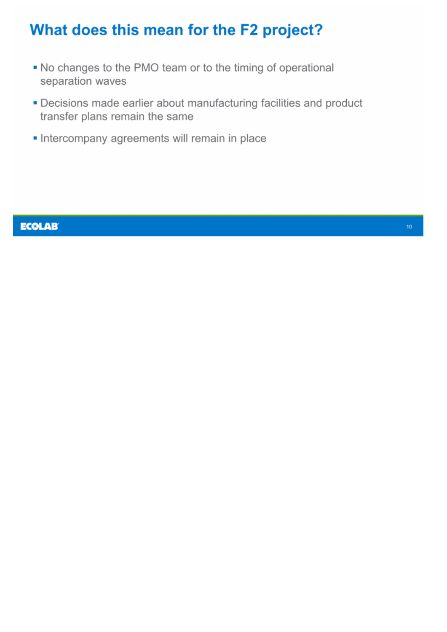# What does this mean for the F2 project?

- . No changes to the PMO team or to the timing of operational separation waves
- Decisions made earlier about manufacturing facilities and product transfer plans remain the same
- Intercompany agreements will remain in place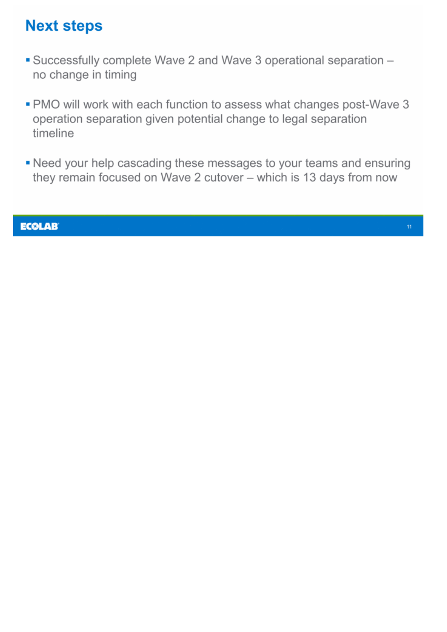## **Next steps**

- Successfully complete Wave 2 and Wave 3 operational separation no change in timing
- . PMO will work with each function to assess what changes post-Wave 3 operation separation given potential change to legal separation timeline
- . Need your help cascading these messages to your teams and ensuring they remain focused on Wave 2 cutover - which is 13 days from now